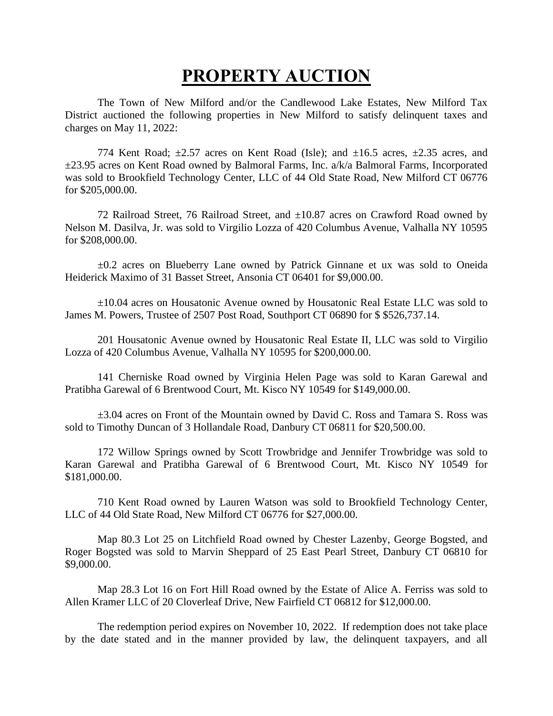## **PROPERTY AUCTION**

The Town of New Milford and/or the Candlewood Lake Estates, New Milford Tax District auctioned the following properties in New Milford to satisfy delinquent taxes and charges on May 11, 2022:

774 Kent Road;  $\pm 2.57$  acres on Kent Road (Isle); and  $\pm 16.5$  acres,  $\pm 2.35$  acres, and ±23.95 acres on Kent Road owned by Balmoral Farms, Inc. a/k/a Balmoral Farms, Incorporated was sold to Brookfield Technology Center, LLC of 44 Old State Road, New Milford CT 06776 for \$205,000.00.

72 Railroad Street, 76 Railroad Street, and ±10.87 acres on Crawford Road owned by Nelson M. Dasilva, Jr. was sold to Virgilio Lozza of 420 Columbus Avenue, Valhalla NY 10595 for \$208,000.00.

±0.2 acres on Blueberry Lane owned by Patrick Ginnane et ux was sold to Oneida Heiderick Maximo of 31 Basset Street, Ansonia CT 06401 for \$9,000.00.

±10.04 acres on Housatonic Avenue owned by Housatonic Real Estate LLC was sold to James M. Powers, Trustee of 2507 Post Road, Southport CT 06890 for \$ \$526,737.14.

201 Housatonic Avenue owned by Housatonic Real Estate II, LLC was sold to Virgilio Lozza of 420 Columbus Avenue, Valhalla NY 10595 for \$200,000.00.

141 Cherniske Road owned by Virginia Helen Page was sold to Karan Garewal and Pratibha Garewal of 6 Brentwood Court, Mt. Kisco NY 10549 for \$149,000.00.

±3.04 acres on Front of the Mountain owned by David C. Ross and Tamara S. Ross was sold to Timothy Duncan of 3 Hollandale Road, Danbury CT 06811 for \$20,500.00.

172 Willow Springs owned by Scott Trowbridge and Jennifer Trowbridge was sold to Karan Garewal and Pratibha Garewal of 6 Brentwood Court, Mt. Kisco NY 10549 for \$181,000.00.

710 Kent Road owned by Lauren Watson was sold to Brookfield Technology Center, LLC of 44 Old State Road, New Milford CT 06776 for \$27,000.00.

Map 80.3 Lot 25 on Litchfield Road owned by Chester Lazenby, George Bogsted, and Roger Bogsted was sold to Marvin Sheppard of 25 East Pearl Street, Danbury CT 06810 for \$9,000.00.

Map 28.3 Lot 16 on Fort Hill Road owned by the Estate of Alice A. Ferriss was sold to Allen Kramer LLC of 20 Cloverleaf Drive, New Fairfield CT 06812 for \$12,000.00.

The redemption period expires on November 10, 2022. If redemption does not take place by the date stated and in the manner provided by law, the delinquent taxpayers, and all